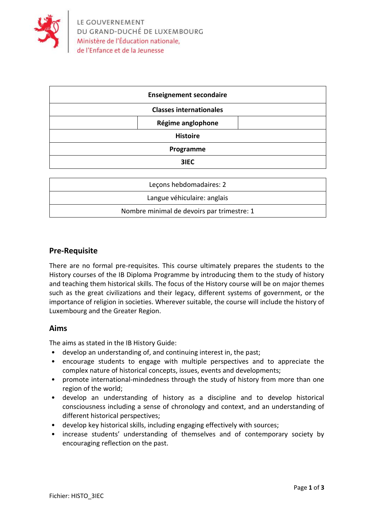

| <b>Enseignement secondaire</b> |                   |  |
|--------------------------------|-------------------|--|
| <b>Classes internationales</b> |                   |  |
|                                | Régime anglophone |  |
| <b>Histoire</b>                |                   |  |
| Programme                      |                   |  |
|                                | 3IEC              |  |

| Lecons hebdomadaires: 2                    |  |  |
|--------------------------------------------|--|--|
| Langue véhiculaire: anglais                |  |  |
| Nombre minimal de devoirs par trimestre: 1 |  |  |

#### **Pre-Requisite**

There are no formal pre-requisites. This course ultimately prepares the students to the History courses of the IB Diploma Programme by introducing them to the study of history and teaching them historical skills. The focus of the History course will be on major themes such as the great civilizations and their legacy, different systems of government, or the importance of religion in societies. Wherever suitable, the course will include the history of Luxembourg and the Greater Region.

#### **Aims**

The aims as stated in the IB History Guide:

- develop an understanding of, and continuing interest in, the past;
- encourage students to engage with multiple perspectives and to appreciate the complex nature of historical concepts, issues, events and developments;
- promote international-mindedness through the study of history from more than one region of the world;
- develop an understanding of history as a discipline and to develop historical consciousness including a sense of chronology and context, and an understanding of different historical perspectives;
- develop key historical skills, including engaging effectively with sources;
- increase students' understanding of themselves and of contemporary society by encouraging reflection on the past.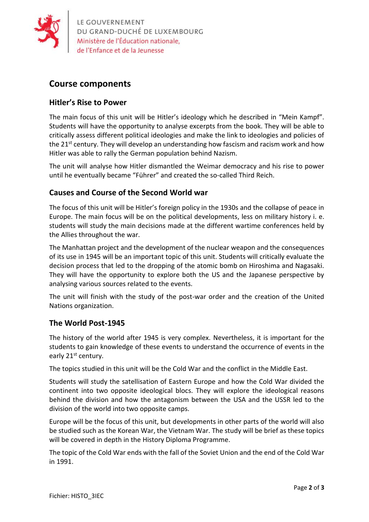

LE GOUVERNEMENT DU GRAND-DUCHÉ DE LUXEMBOURG Ministère de l'Éducation nationale,

## **Course components**

### **Hitler's Rise to Power**

The main focus of this unit will be Hitler's ideology which he described in "Mein Kampf". Students will have the opportunity to analyse excerpts from the book. They will be able to critically assess different political ideologies and make the link to ideologies and policies of the 21<sup>st</sup> century. They will develop an understanding how fascism and racism work and how Hitler was able to rally the German population behind Nazism.

The unit will analyse how Hitler dismantled the Weimar democracy and his rise to power until he eventually became "Führer" and created the so-called Third Reich.

#### **Causes and Course of the Second World war**

The focus of this unit will be Hitler's foreign policy in the 1930s and the collapse of peace in Europe. The main focus will be on the political developments, less on military history i. e. students will study the main decisions made at the different wartime conferences held by the Allies throughout the war.

The Manhattan project and the development of the nuclear weapon and the consequences of its use in 1945 will be an important topic of this unit. Students will critically evaluate the decision process that led to the dropping of the atomic bomb on Hiroshima and Nagasaki. They will have the opportunity to explore both the US and the Japanese perspective by analysing various sources related to the events.

The unit will finish with the study of the post-war order and the creation of the United Nations organization.

#### **The World Post-1945**

The history of the world after 1945 is very complex. Nevertheless, it is important for the students to gain knowledge of these events to understand the occurrence of events in the early 21<sup>st</sup> century.

The topics studied in this unit will be the Cold War and the conflict in the Middle East.

Students will study the satellisation of Eastern Europe and how the Cold War divided the continent into two opposite ideological blocs. They will explore the ideological reasons behind the division and how the antagonism between the USA and the USSR led to the division of the world into two opposite camps.

Europe will be the focus of this unit, but developments in other parts of the world will also be studied such as the Korean War, the Vietnam War. The study will be brief as these topics will be covered in depth in the History Diploma Programme.

The topic of the Cold War ends with the fall of the Soviet Union and the end of the Cold War in 1991.